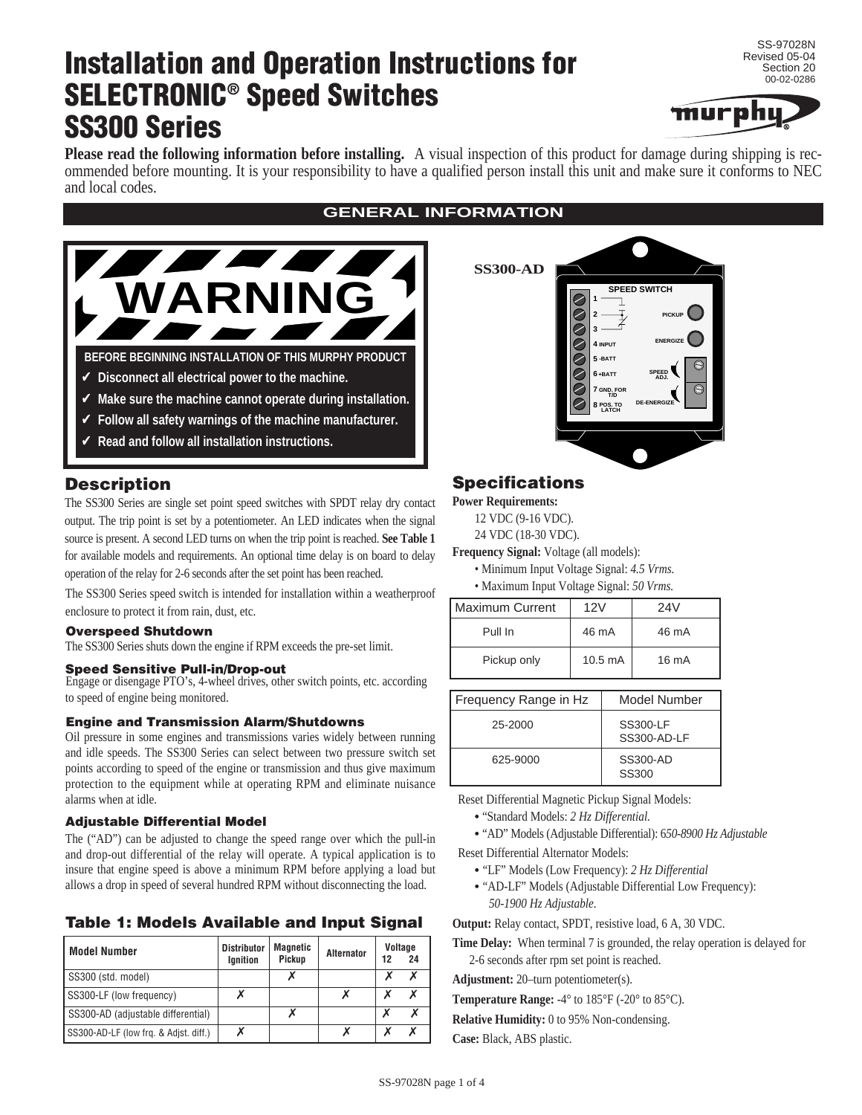# **Installation and Operation Instructions for SELECTRONIC® Speed Switches SS300 Series**

SS-97028N Revised 05-04 Section 20 00-02-0286



**Please read the following information before installing.** A visual inspection of this product for damage during shipping is recommended before mounting. It is your responsibility to have a qualified person install this unit and make sure it conforms to NEC and local codes.



- Make sure the machine cannot operate during installation.
- ✔ **Follow all safety warnings of the machine manufacturer.**
- ✔ **Read and follow all installation instructions.**

# **Description**

The SS300 Series are single set point speed switches with SPDT relay dry contact output. The trip point is set by a potentiometer. An LED indicates when the signal source is present. A second LED turns on when the trip point is reached. **See Table 1** for available models and requirements. An optional time delay is on board to delay operation of the relay for 2-6 seconds after the set point has been reached.

The SS300 Series speed switch is intended for installation within a weatherproof enclosure to protect it from rain, dust, etc.

#### **Overspeed Shutdown**

The SS300 Series shuts down the engine if RPM exceeds the pre-set limit.

#### **Speed Sensitive Pull-in/Drop-out**

Engage or disengage PTO's, 4-wheel drives, other switch points, etc. according to speed of engine being monitored.

#### **Engine and Transmission Alarm/Shutdowns**

Oil pressure in some engines and transmissions varies widely between running and idle speeds. The SS300 Series can select between two pressure switch set points according to speed of the engine or transmission and thus give maximum protection to the equipment while at operating RPM and eliminate nuisance alarms when at idle.

#### **Adjustable Differential Model**

The ("AD") can be adjusted to change the speed range over which the pull-in and drop-out differential of the relay will operate. A typical application is to insure that engine speed is above a minimum RPM before applying a load but allows a drop in speed of several hundred RPM without disconnecting the load.

#### **Table 1: Models Available and Input Signal**

| l Model Number                        | <b>Distributor</b><br>Ignition | Magnetic<br>Pickup | Alternator | 12 | Voltage<br>24 |
|---------------------------------------|--------------------------------|--------------------|------------|----|---------------|
| SS300 (std. model)                    |                                |                    |            |    |               |
| SS300-LF (low frequency)              |                                |                    |            |    |               |
| SS300-AD (adjustable differential)    |                                |                    |            |    |               |
| SS300-AD-LF (low frg. & Adist. diff.) |                                |                    |            |    |               |

### **GENERAL INFORMATION**



## **Specifications**

**Power Requirements:** 

12 VDC (9-16 VDC).

24 VDC (18-30 VDC).

**Frequency Signal:** Voltage (all models):

• Minimum Input Voltage Signal: *4.5 Vrms.* • Maximum Input Voltage Signal: *50 Vrms.*

| $m_{\rm H}$ and $m_{\rm H}$ and $m_{\rm H}$ and $m_{\rm H}$ and $m_{\rm H}$ |                   |       |  |  |  |
|-----------------------------------------------------------------------------|-------------------|-------|--|--|--|
| <b>Maximum Current</b>                                                      | 12V               | 24V   |  |  |  |
| Pull In                                                                     | 46 mA             | 46 mA |  |  |  |
| Pickup only                                                                 | $10.5 \text{ mA}$ | 16 mA |  |  |  |

| Frequency Range in Hz | Model Number                   |
|-----------------------|--------------------------------|
| 25-2000               | SS300-LF<br><b>SS300-AD-LF</b> |
| 625-9000              | SS300-AD<br>SS300              |

Reset Differential Magnetic Pickup Signal Models:

- "Standard Models: *2 Hz Differential.*
- "AD" Models (Adjustable Differential): 6*50-8900 Hz Adjustable*

Reset Differential Alternator Models:

- "LF" Models (Low Frequency): *2 Hz Differential*
- "AD-LF" Models (Adjustable Differential Low Frequency): *50-1900 Hz Adjustable.*

**Output:** Relay contact, SPDT, resistive load, 6 A, 30 VDC.

**Time Delay:** When terminal 7 is grounded, the relay operation is delayed for 2-6 seconds after rpm set point is reached.

**Adjustment:** 20–turn potentiometer(s).

**Temperature Range:** -4° to 185°F (-20° to 85°C).

**Relative Humidity:** 0 to 95% Non-condensing.

**Case:** Black, ABS plastic.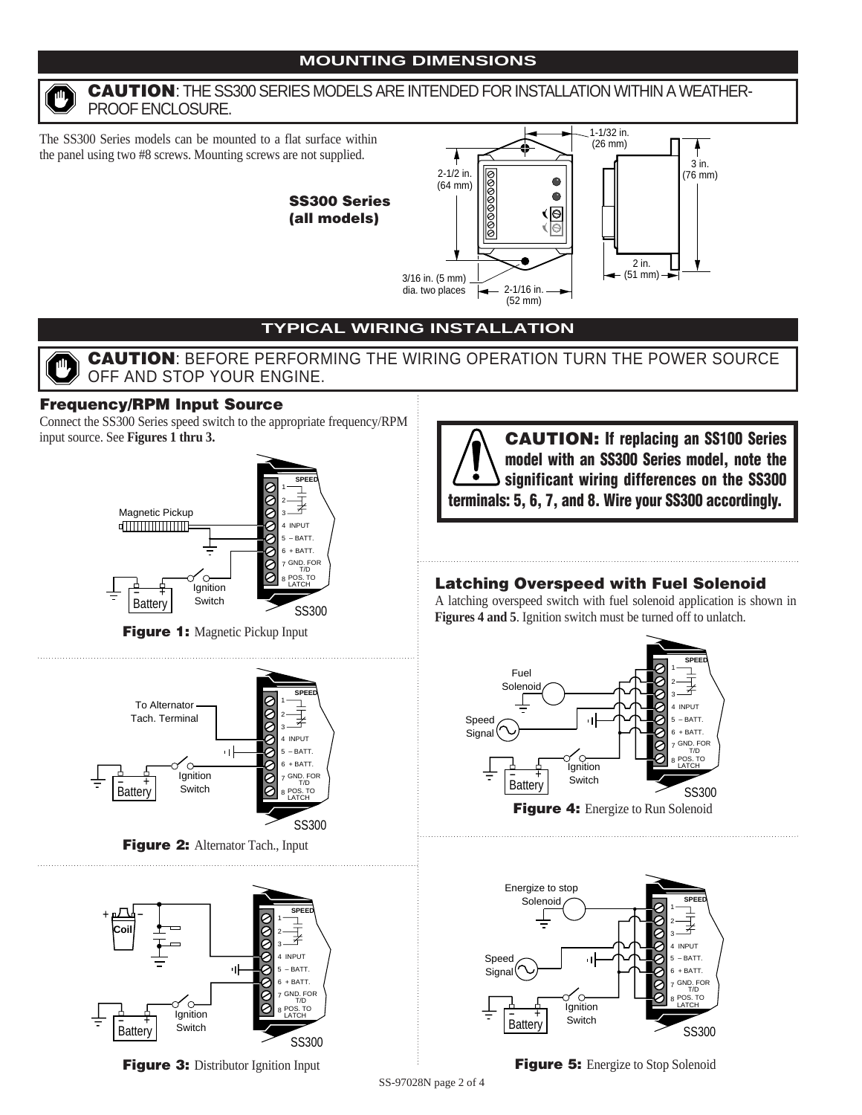

### **CAUTION**: THE SS300 SERIES MODELS ARE INTENDED FOR INSTALLATION WITHIN A WEATHER-PROOF ENCLOSURE.

The SS300 Series models can be mounted to a flat surface within the panel using two #8 screws. Mounting screws are not supplied.





# **TYPICAL WIRING INSTALLATION**

# **CAUTION**: BEFORE PERFORMING THE WIRING OPERATION TURN THE POWER SOURCE OFF AND STOP YOUR ENGINE.

# **Frequency/RPM Input Source**

Connect the SS300 Series speed switch to the appropriate frequency/RPM input source. See **Figures 1 thru 3.**



**Figure 1:** Magnetic Pickup Input



**Figure 2:** Alternator Tach., Input



**CAUTION: If replacing an SS100 Series model with an SS300 Series model, note the significant wiring differences on the SS300 terminals: 5, 6, 7, and 8. Wire your SS300 accordingly.**

# **Latching Overspeed with Fuel Solenoid**

A latching overspeed switch with fuel solenoid application is shown in **Figures 4 and 5**. Ignition switch must be turned off to unlatch.





**Figure 3:** Distributor Ignition Input **Figure 5:** Energize to Stop Solenoid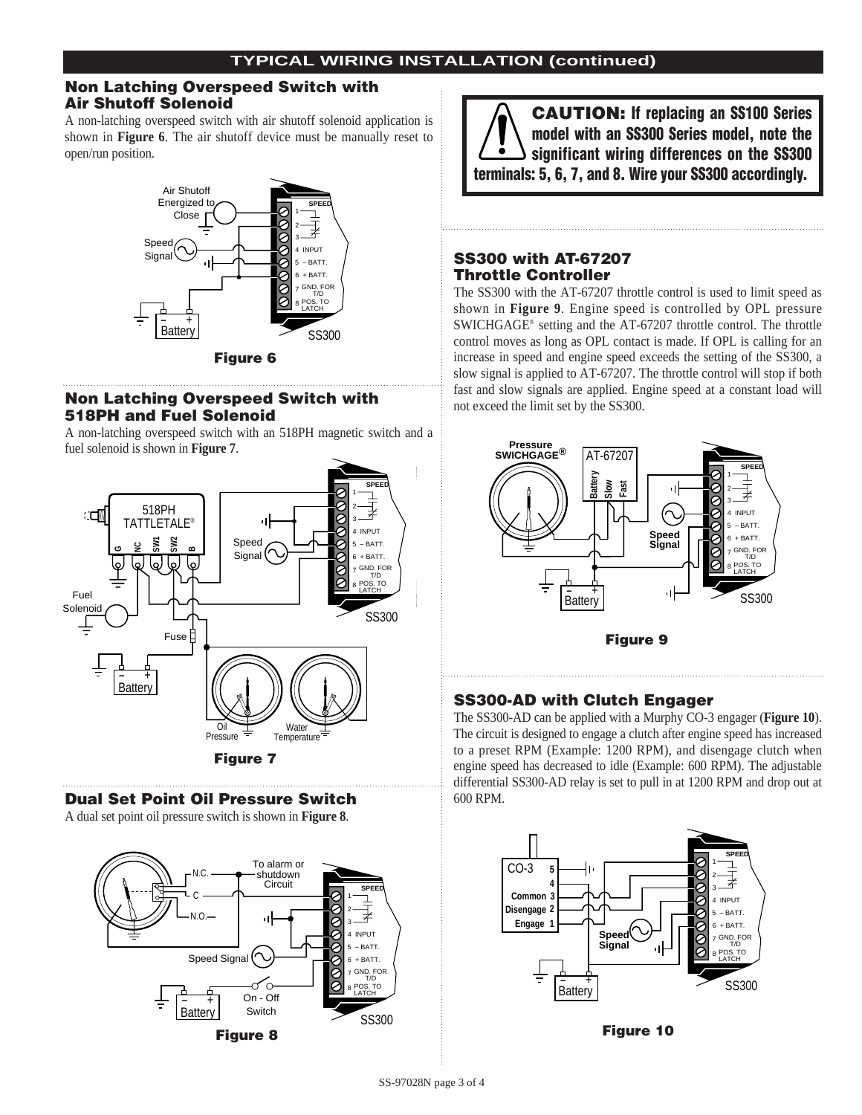### **Non Latching Overspeed Switch with Air Shutoff Solenoid**

A non-latching overspeed switch with air shutoff solenoid application is shown in **Figure 6**. The air shutoff device must be manually reset to open/run position.



#### **Non Latching Overspeed Switch with 518PH and Fuel Solenoid**

A non-latching overspeed switch with an 518PH magnetic switch and a fuel solenoid is shown in **Figure 7**.



### **Dual Set Point Oil Pressure Switch**

A dual set point oil pressure switch is shown in **Figure 8**.



**CAUTION: If replacing an SS100 Series model with an SS300 Series model, note the significant wiring differences on the SS300 terminals: 5, 6, 7, and 8. Wire your SS300 accordingly.**

# **SS300 with AT-67207 Throttle Controller**

The SS300 with the AT-67207 throttle control is used to limit speed as shown in **Figure 9**. Engine speed is controlled by OPL pressure SWICHGAGE® setting and the AT-67207 throttle control. The throttle control moves as long as OPL contact is made. If OPL is calling for an increase in speed and engine speed exceeds the setting of the SS300, a slow signal is applied to AT-67207. The throttle control will stop if both fast and slow signals are applied. Engine speed at a constant load will not exceed the limit set by the SS300.



# **SS300-AD with Clutch Engager**

The SS300-AD can be applied with a Murphy CO-3 engager (**Figure 10**). The circuit is designed to engage a clutch after engine speed has increased to a preset RPM (Example: 1200 RPM), and disengage clutch when engine speed has decreased to idle (Example: 600 RPM). The adjustable differential SS300-AD relay is set to pull in at 1200 RPM and drop out at 600 RPM.



**Figure 10**